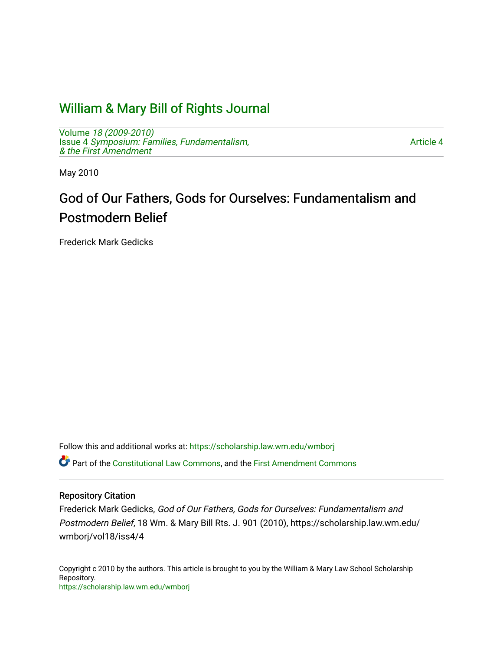# [William & Mary Bill of Rights Journal](https://scholarship.law.wm.edu/wmborj)

Volume [18 \(2009-2010\)](https://scholarship.law.wm.edu/wmborj/vol18)  Issue 4 [Symposium: Families, Fundamentalism,](https://scholarship.law.wm.edu/wmborj/vol18/iss4) [& the First Amendment](https://scholarship.law.wm.edu/wmborj/vol18/iss4)

[Article 4](https://scholarship.law.wm.edu/wmborj/vol18/iss4/4) 

May 2010

# God of Our Fathers, Gods for Ourselves: Fundamentalism and Postmodern Belief

Frederick Mark Gedicks

Follow this and additional works at: [https://scholarship.law.wm.edu/wmborj](https://scholarship.law.wm.edu/wmborj?utm_source=scholarship.law.wm.edu%2Fwmborj%2Fvol18%2Fiss4%2F4&utm_medium=PDF&utm_campaign=PDFCoverPages) 

Part of the [Constitutional Law Commons,](http://network.bepress.com/hgg/discipline/589?utm_source=scholarship.law.wm.edu%2Fwmborj%2Fvol18%2Fiss4%2F4&utm_medium=PDF&utm_campaign=PDFCoverPages) and the [First Amendment Commons](http://network.bepress.com/hgg/discipline/1115?utm_source=scholarship.law.wm.edu%2Fwmborj%2Fvol18%2Fiss4%2F4&utm_medium=PDF&utm_campaign=PDFCoverPages)

### Repository Citation

Frederick Mark Gedicks, God of Our Fathers, Gods for Ourselves: Fundamentalism and Postmodern Belief, 18 Wm. & Mary Bill Rts. J. 901 (2010), https://scholarship.law.wm.edu/ wmborj/vol18/iss4/4

Copyright c 2010 by the authors. This article is brought to you by the William & Mary Law School Scholarship Repository. <https://scholarship.law.wm.edu/wmborj>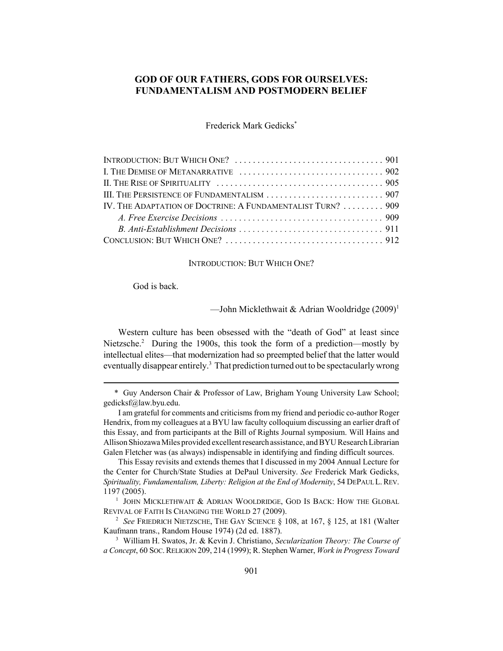## **GOD OF OUR FATHERS, GODS FOR OURSELVES: FUNDAMENTALISM AND POSTMODERN BELIEF**

Frederick Mark Gedicks\*

| IV. THE ADAPTATION OF DOCTRINE: A FUNDAMENTALIST TURN?  909 |  |
|-------------------------------------------------------------|--|
|                                                             |  |
|                                                             |  |
|                                                             |  |

#### INTRODUCTION: BUT WHICH ONE?

God is back.

—John Micklethwait & Adrian Wooldridge  $(2009)^1$ 

Western culture has been obsessed with the "death of God" at least since Nietzsche.<sup>2</sup> During the 1900s, this took the form of a prediction—mostly by intellectual elites—that modernization had so preempted belief that the latter would eventually disappear entirely.<sup>3</sup> That prediction turned out to be spectacularly wrong

<sup>\*</sup> Guy Anderson Chair & Professor of Law, Brigham Young University Law School; gedicksf@law.byu.edu.

I am grateful for comments and criticisms from my friend and periodic co-author Roger Hendrix, from my colleagues at a BYU law faculty colloquium discussing an earlier draft of this Essay, and from participants at the Bill of Rights Journal symposium. Will Hains and Allison Shiozawa Miles provided excellent research assistance, and BYU Research Librarian Galen Fletcher was (as always) indispensable in identifying and finding difficult sources.

This Essay revisits and extends themes that I discussed in my 2004 Annual Lecture for the Center for Church/State Studies at DePaul University. *See* Frederick Mark Gedicks, *Spirituality, Fundamentalism, Liberty: Religion at the End of Modernity*, 54 DEPAUL L.REV. 1197 (2005).

 $1$  JOHN MICKLETHWAIT  $\&$  ADRIAN WOOLDRIDGE, GOD IS BACK: HOW THE GLOBAL REVIVAL OF FAITH IS CHANGING THE WORLD 27 (2009).

<sup>2</sup> *See* FRIEDRICH NIETZSCHE, THE GAY SCIENCE § 108, at 167, § 125, at 181 (Walter Kaufmann trans., Random House 1974) (2d ed. 1887).

<sup>3</sup> William H. Swatos, Jr. & Kevin J. Christiano, *Secularization Theory: The Course of a Concept*, 60 SOC.RELIGION 209, 214 (1999); R. Stephen Warner, *Work in Progress Toward*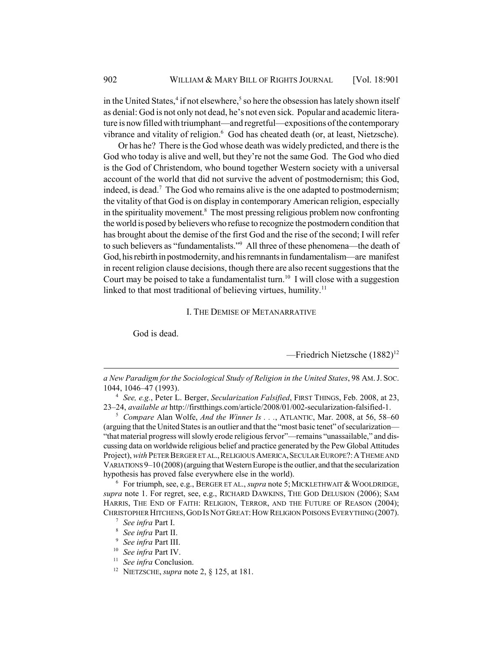in the United States,<sup>4</sup> if not elsewhere,<sup>5</sup> so here the obsession has lately shown itself as denial: God is not only not dead, he's not even sick. Popular and academic literature is now filled with triumphant—and regretful—expositions of the contemporary vibrance and vitality of religion.<sup>6</sup> God has cheated death (or, at least, Nietzsche).

Or has he? There is the God whose death was widely predicted, and there is the God who today is alive and well, but they're not the same God. The God who died is the God of Christendom, who bound together Western society with a universal account of the world that did not survive the advent of postmodernism; this God, indeed, is dead.<sup>7</sup> The God who remains alive is the one adapted to postmodernism; the vitality of that God is on display in contemporary American religion, especially in the spirituality movement.<sup>8</sup> The most pressing religious problem now confronting the world is posed by believers who refuse to recognize the postmodern condition that has brought about the demise of the first God and the rise of the second; I will refer to such believers as "fundamentalists."<sup>9</sup> All three of these phenomena—the death of God, his rebirth in postmodernity, and his remnants in fundamentalism—are manifest in recent religion clause decisions, though there are also recent suggestions that the Court may be poised to take a fundamentalist turn.<sup>10</sup> I will close with a suggestion linked to that most traditional of believing virtues, humility.<sup>11</sup>

#### I. THE DEMISE OF METANARRATIVE

God is dead.

 $-$ Friedrich Nietzsche (1882)<sup>12</sup>

<sup>4</sup> *See, e.g.*, Peter L. Berger, *Secularization Falsified*, FIRST THINGS, Feb. 2008, at 23, 23–24, *available at* http://firstthings.com/article/2008/01/002-secularization-falsified-1.

<sup>5</sup> *Compare* Alan Wolfe, *And the Winner Is . . .*, ATLANTIC, Mar. 2008, at 56, 58–60 (arguing that the United States is an outlier and that the "most basic tenet" of secularization— "that material progress will slowly erode religious fervor"—remains "unassailable," and discussing data on worldwide religious belief and practice generated by the Pew Global Attitudes Project), *with* PETER BERGER ET AL., RELIGIOUS AMERICA, SECULAR EUROPE?: A THEME AND VARIATIONS 9–10 (2008) (arguing that Western Europe is the outlier, and that the secularization hypothesis has proved false everywhere else in the world).

 $6$  For triumph, see, e.g., BERGER ET AL., *supra* note 5; MICKLETHWAIT  $\&$  WOOLDRIDGE, *supra* note 1. For regret, see, e.g., RICHARD DAWKINS, THE GOD DELUSION (2006); SAM HARRIS, THE END OF FAITH: RELIGION, TERROR, AND THE FUTURE OF REASON (2004); CHRISTOPHER HITCHENS,GOD IS NOT GREAT:HOW RELIGION POISONS EVERYTHING (2007).

- <sup>7</sup> *See infra* Part I.
- <sup>8</sup> *See infra* Part II.
- <sup>9</sup> *See infra* Part III.
- <sup>10</sup> *See infra* Part IV.
- <sup>11</sup> *See infra* Conclusion.
- <sup>12</sup> NIETZSCHE, *supra* note 2, § 125, at 181.

*a New Paradigm for the Sociological Study of Religion in the United States*, 98 AM.J. SOC. 1044, 1046–47 (1993).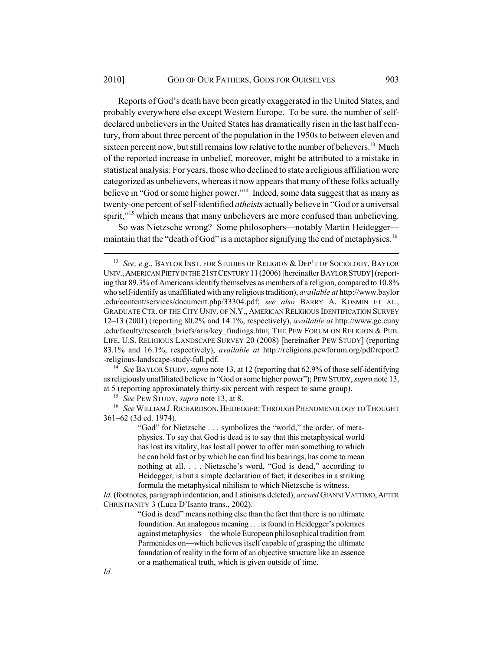Reports of God's death have been greatly exaggerated in the United States, and probably everywhere else except Western Europe. To be sure, the number of selfdeclared unbelievers in the United States has dramatically risen in the last half century, from about three percent of the population in the 1950s to between eleven and sixteen percent now, but still remains low relative to the number of believers.<sup>13</sup> Much of the reported increase in unbelief, moreover, might be attributed to a mistake in statistical analysis: For years, those who declined to state a religious affiliation were categorized as unbelievers, whereas it now appears that many of these folks actually believe in "God or some higher power."14 Indeed, some data suggest that as many as twenty-one percent of self-identified *atheists* actually believe in "God or a universal spirit,"<sup>15</sup> which means that many unbelievers are more confused than unbelieving.

So was Nietzsche wrong? Some philosophers—notably Martin Heidegger maintain that the "death of God" is a metaphor signifying the end of metaphysics.<sup>16</sup>

<sup>14</sup> *See* BAYLOR STUDY, *supra* note 13, at 12 (reporting that 62.9% of those self-identifying as religiously unaffiliated believe in "God or some higher power"); PEW STUDY, *supra* note 13, at 5 (reporting approximately thirty-six percent with respect to same group).

<sup>15</sup> *See* PEW STUDY, *supra* note 13, at 8.

<sup>16</sup> See WILLIAM J. RICHARDSON, HEIDEGGER: THROUGH PHENOMENOLOGY TO THOUGHT 361–62 (3d ed. 1974).

> "God" for Nietzsche . . . symbolizes the "world," the order, of metaphysics. To say that God is dead is to say that this metaphysical world has lost its vitality, has lost all power to offer man something to which he can hold fast or by which he can find his bearings, has come to mean nothing at all. . . . Nietzsche's word, "God is dead," according to Heidegger, is but a simple declaration of fact, it describes in a striking formula the metaphysical nihilism to which Nietzsche is witness.

*Id.* (footnotes, paragraph indentation, and Latinisms deleted); *accord* GIANNI VATTIMO, AFTER CHRISTIANITY 3 (Luca D'Isanto trans., 2002).

> "God is dead" means nothing else than the fact that there is no ultimate foundation. An analogous meaning . . . is found in Heidegger's polemics against metaphysics—the whole European philosophical tradition from Parmenides on—which believes itself capable of grasping the ultimate foundation of reality in the form of an objective structure like an essence or a mathematical truth, which is given outside of time.

<sup>13</sup> *See, e.g.*, BAYLOR INST. FOR STUDIES OF RELIGION & DEP'T OF SOCIOLOGY, BAYLOR UNIV.,AMERICAN PIETY IN THE 21ST CENTURY 11(2006) [hereinafter BAYLOR STUDY] (reporting that 89.3% of Americans identify themselves as members of a religion, compared to 10.8% who self-identify as unaffiliated with any religious tradition), *available at* http://www.baylor .edu/content/services/document.php/33304.pdf; *see also* BARRY A. KOSMIN ET AL., GRADUATE CTR. OF THE CITY UNIV. OF N.Y., AMERICAN RELIGIOUS IDENTIFICATION SURVEY 12–13 (2001) (reporting 80.2% and 14.1%, respectively), *available at* http://www.gc.cuny .edu/faculty/research\_briefs/aris/key\_findings.htm; THE PEW FORUM ON RELIGION & PUB. LIFE, U.S. RELIGIOUS LANDSCAPE SURVEY 20 (2008) [hereinafter PEW STUDY] (reporting 83.1% and 16.1%, respectively), *available at* http://religions.pewforum.org/pdf/report2 -religious-landscape-study-full.pdf.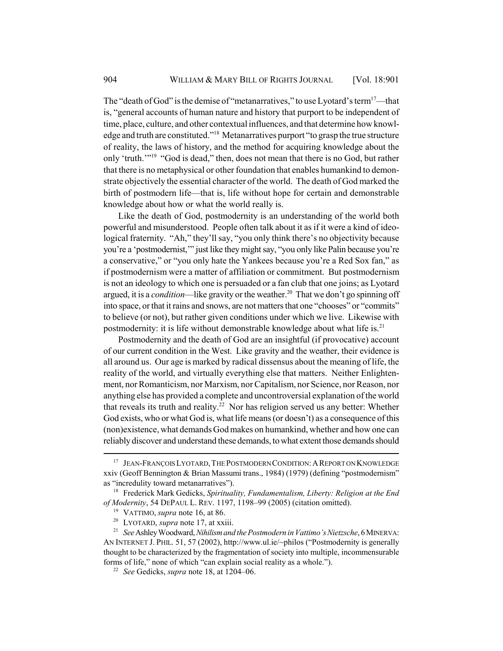The "death of God" is the demise of "metanarratives," to use Lyotard's term<sup>17</sup>—that is, "general accounts of human nature and history that purport to be independent of time, place, culture, and other contextual influences, and that determine how knowledge and truth are constituted."18 Metanarratives purport "to grasp the true structure of reality, the laws of history, and the method for acquiring knowledge about the only 'truth.'"19 "God is dead," then, does not mean that there is no God, but rather that there is no metaphysical or other foundation that enables humankind to demonstrate objectively the essential character of the world. The death of God marked the birth of postmodern life—that is, life without hope for certain and demonstrable knowledge about how or what the world really is.

Like the death of God, postmodernity is an understanding of the world both powerful and misunderstood. People often talk about it as if it were a kind of ideological fraternity. "Ah," they'll say, "you only think there's no objectivity because you're a 'postmodernist,'" just like they might say, "you only like Palin because you're a conservative," or "you only hate the Yankees because you're a Red Sox fan," as if postmodernism were a matter of affiliation or commitment. But postmodernism is not an ideology to which one is persuaded or a fan club that one joins; as Lyotard argued, it is a *condition*—like gravity or the weather.<sup>20</sup> That we don't go spinning off into space, or that it rains and snows, are not matters that one "chooses" or "commits" to believe (or not), but rather given conditions under which we live. Likewise with postmodernity: it is life without demonstrable knowledge about what life is.<sup>21</sup>

Postmodernity and the death of God are an insightful (if provocative) account of our current condition in the West. Like gravity and the weather, their evidence is all around us. Our age is marked by radical dissensus about the meaning of life, the reality of the world, and virtually everything else that matters. Neither Enlightenment, nor Romanticism, nor Marxism, nor Capitalism, nor Science, nor Reason, nor anything else has provided a complete and uncontroversial explanation of the world that reveals its truth and reality.<sup>22</sup> Nor has religion served us any better: Whether God exists, who or what God is, what life means (or doesn't) as a consequence of this (non)existence, what demands God makes on humankind, whether and how one can reliably discover and understand these demands, to what extent those demands should

<sup>&</sup>lt;sup>17</sup> JEAN-FRANÇOIS LYOTARD, THE POSTMODERN CONDITION: A REPORT ON KNOWLEDGE xxiv (Geoff Bennington & Brian Massumi trans., 1984) (1979) (defining "postmodernism" as "incredulity toward metanarratives").

<sup>18</sup> Frederick Mark Gedicks, *Spirituality, Fundamentalism, Liberty: Religion at the End of Modernity*, 54 DEPAUL L. REV. 1197, 1198–99 (2005) (citation omitted).

<sup>19</sup> VATTIMO, *supra* note 16, at 86.

<sup>20</sup> LYOTARD, *supra* note 17, at xxiii.

<sup>21</sup> *See* Ashley Woodward, *Nihilism and the Postmodern in Vattimo's Nietzsche*, 6 MINERVA: AN INTERNET J. PHIL. 51, 57 (2002), http://www.ul.ie/~philos ("Postmodernity is generally thought to be characterized by the fragmentation of society into multiple, incommensurable forms of life," none of which "can explain social reality as a whole.").

<sup>22</sup> *See* Gedicks, *supra* note 18, at 1204–06.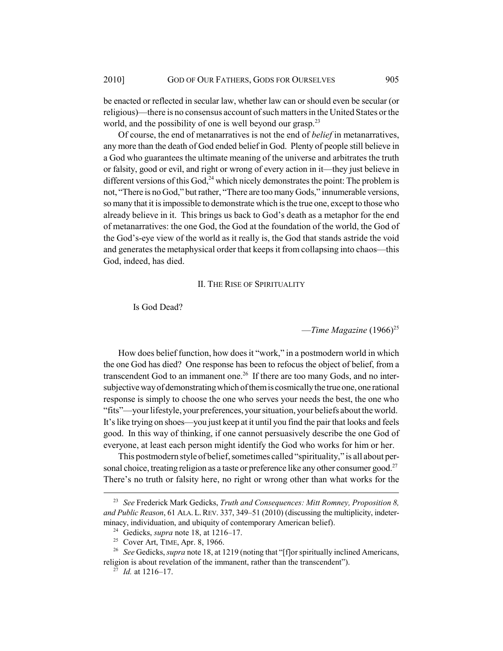be enacted or reflected in secular law, whether law can or should even be secular (or religious)—there is no consensus account of such matters in the United States or the world, and the possibility of one is well beyond our grasp.<sup>23</sup>

Of course, the end of metanarratives is not the end of *belief* in metanarratives, any more than the death of God ended belief in God. Plenty of people still believe in a God who guarantees the ultimate meaning of the universe and arbitrates the truth or falsity, good or evil, and right or wrong of every action in it—they just believe in different versions of this  $God<sub>24</sub><sup>24</sup>$  which nicely demonstrates the point: The problem is not, "There is no God," but rather, "There are too many Gods," innumerable versions, so many that it is impossible to demonstrate which is the true one, except to those who already believe in it. This brings us back to God's death as a metaphor for the end of metanarratives: the one God, the God at the foundation of the world, the God of the God's-eye view of the world as it really is, the God that stands astride the void and generates the metaphysical order that keeps it from collapsing into chaos—this God, indeed, has died.

#### II. THE RISE OF SPIRITUALITY

#### Is God Dead?

—*Time Magazine* (1966)25

How does belief function, how does it "work," in a postmodern world in which the one God has died? One response has been to refocus the object of belief, from a transcendent God to an immanent one.<sup>26</sup> If there are too many Gods, and no intersubjective way of demonstrating which of them is cosmically the true one, one rational response is simply to choose the one who serves your needs the best, the one who "fits"—your lifestyle, your preferences, your situation, your beliefs about the world. It's like trying on shoes—you just keep at it until you find the pair that looks and feels good. In this way of thinking, if one cannot persuasively describe the one God of everyone, at least each person might identify the God who works for him or her.

This postmodern style of belief, sometimes called "spirituality," is all about personal choice, treating religion as a taste or preference like any other consumer good.<sup>27</sup> There's no truth or falsity here, no right or wrong other than what works for the

<sup>23</sup> *See* Frederick Mark Gedicks, *Truth and Consequences: Mitt Romney, Proposition 8, and Public Reason*, 61 ALA. L.REV. 337, 349–51 (2010) (discussing the multiplicity, indeterminacy, individuation, and ubiquity of contemporary American belief).

<sup>24</sup> Gedicks, *supra* note 18, at 1216–17.

<sup>25</sup> Cover Art, TIME, Apr. 8, 1966.

<sup>&</sup>lt;sup>26</sup> *See* Gedicks, *supra* note 18, at 1219 (noting that "[f]or spiritually inclined Americans, religion is about revelation of the immanent, rather than the transcendent").

<sup>27</sup> *Id.* at 1216–17.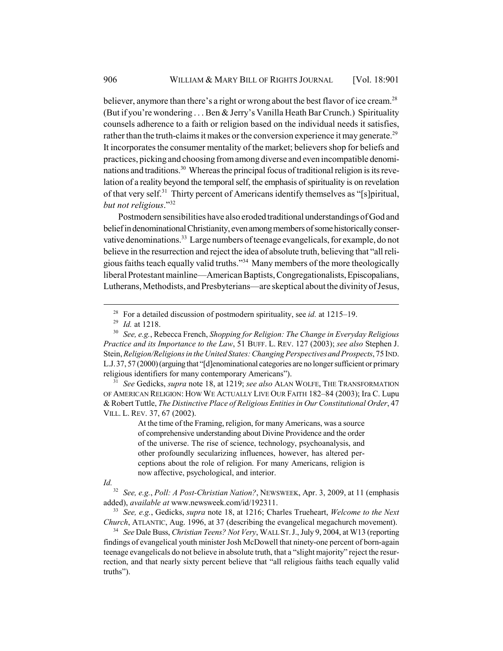believer, anymore than there's a right or wrong about the best flavor of ice cream.<sup>28</sup> (But if you're wondering . . . Ben & Jerry's Vanilla Heath Bar Crunch.) Spirituality counsels adherence to a faith or religion based on the individual needs it satisfies, rather than the truth-claims it makes or the conversion experience it may generate.<sup>29</sup> It incorporates the consumer mentality of the market; believers shop for beliefs and practices, picking and choosing from among diverse and even incompatible denominations and traditions.<sup>30</sup> Whereas the principal focus of traditional religion is its revelation of a reality beyond the temporal self, the emphasis of spirituality is on revelation of that very self.<sup>31</sup> Thirty percent of Americans identify themselves as "[s]piritual, *but not religious*."32

Postmodern sensibilities have also eroded traditional understandings of God and belief in denominational Christianity, even among members of some historically conservative denominations.<sup>33</sup> Large numbers of teenage evangelicals, for example, do not believe in the resurrection and reject the idea of absolute truth, believing that "all religious faiths teach equally valid truths."34 Many members of the more theologically liberal Protestant mainline—American Baptists, Congregationalists, Episcopalians, Lutherans, Methodists, and Presbyterians—are skeptical about the divinity of Jesus,

<sup>31</sup> *See* Gedicks, *supra* note 18, at 1219; *see also* ALAN WOLFE, THE TRANSFORMATION OF AMERICAN RELIGION: HOW WE ACTUALLY LIVE OUR FAITH 182–84 (2003); Ira C. Lupu & Robert Tuttle, *The Distinctive Place of Religious Entities in Our Constitutional Order*, 47 VILL. L. REV. 37, 67 (2002).

> At the time of the Framing, religion, for many Americans, was a source of comprehensive understanding about Divine Providence and the order of the universe. The rise of science, technology, psychoanalysis, and other profoundly secularizing influences, however, has altered perceptions about the role of religion. For many Americans, religion is now affective, psychological, and interior.

*Id.*

<sup>32</sup> *See, e.g.*, *Poll: A Post-Christian Nation?*, NEWSWEEK, Apr. 3, 2009, at 11 (emphasis added), *available at* www.newsweek.com/id/192311.

<sup>33</sup> *See, e.g.*, Gedicks, *supra* note 18, at 1216; Charles Trueheart, *Welcome to the Next Church*, ATLANTIC, Aug. 1996, at 37 (describing the evangelical megachurch movement).

<sup>34</sup> *See* Dale Buss, *Christian Teens? Not Very*, WALL ST.J., July 9, 2004, at W13 (reporting findings of evangelical youth minister Josh McDowell that ninety-one percent of born-again teenage evangelicals do not believe in absolute truth, that a "slight majority" reject the resurrection, and that nearly sixty percent believe that "all religious faiths teach equally valid truths").

<sup>28</sup> For a detailed discussion of postmodern spirituality, see *id.* at 1215–19.

<sup>29</sup> *Id.* at 1218.

<sup>30</sup> *See, e.g.*, Rebecca French, *Shopping for Religion: The Change in Everyday Religious Practice and its Importance to the Law*, 51 BUFF. L. REV. 127 (2003); *see also* Stephen J. Stein, *Religion/Religions in the United States: Changing Perspectives and Prospects*, 75 IND. L.J.37, 57 (2000) (arguing that "[d]enominational categories are no longer sufficient or primary religious identifiers for many contemporary Americans").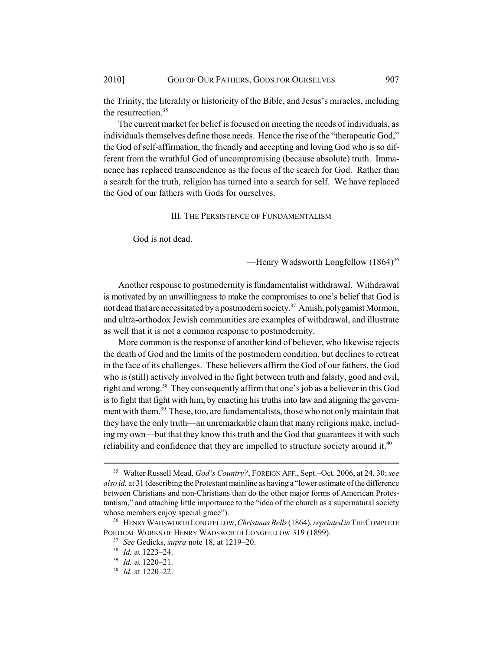the Trinity, the literality or historicity of the Bible, and Jesus's miracles, including the resurrection.<sup>35</sup>

The current market for belief is focused on meeting the needs of individuals, as individuals themselves define those needs. Hence the rise of the "therapeutic God," the God of self-affirmation, the friendly and accepting and loving God who is so different from the wrathful God of uncompromising (because absolute) truth. Immanence has replaced transcendence as the focus of the search for God. Rather than a search for the truth, religion has turned into a search for self. We have replaced the God of our fathers with Gods for ourselves.

#### III. THE PERSISTENCE OF FUNDAMENTALISM

God is not dead.

—Henry Wadsworth Longfellow  $(1864)^{36}$ 

Another response to postmodernity is fundamentalist withdrawal. Withdrawal is motivated by an unwillingness to make the compromises to one's belief that God is not dead that are necessitated by a postmodern society.<sup>37</sup> Amish, polygamist Mormon, and ultra-orthodox Jewish communities are examples of withdrawal, and illustrate as well that it is not a common response to postmodernity.

More common is the response of another kind of believer, who likewise rejects the death of God and the limits of the postmodern condition, but declines to retreat in the face of its challenges. These believers affirm the God of our fathers, the God who is (still) actively involved in the fight between truth and falsity, good and evil, right and wrong.<sup>38</sup> They consequently affirm that one's job as a believer in this God is to fight that fight with him, by enacting his truths into law and aligning the government with them.<sup>39</sup> These, too, are fundamentalists, those who not only maintain that they have the only truth—an unremarkable claim that many religions make, including my own—but that they know this truth and the God that guarantees it with such reliability and confidence that they are impelled to structure society around it.<sup>40</sup>

<sup>35</sup> Walter Russell Mead, *God's Country?*, FOREIGN AFF., Sept.–Oct. 2006, at 24, 30; *see also id.* at 31 (describing the Protestant mainline as having a "lower estimate of the difference between Christians and non-Christians than do the other major forms of American Protestantism," and attaching little importance to the "idea of the church as a supernatural society whose members enjoy special grace").

<sup>36</sup> HENRY WADSWORTH LONGFELLOW,*Christmas Bells* (1864), *reprinted in* THE COMPLETE POETICAL WORKS OF HENRY WADSWORTH LONGFELLOW 319 (1899).

<sup>37</sup> *See* Gedicks, *supra* note 18, at 1219–20.

<sup>38</sup> *Id.* at 1223–24.

<sup>39</sup> *Id.* at 1220–21.

<sup>40</sup> *Id.* at 1220–22.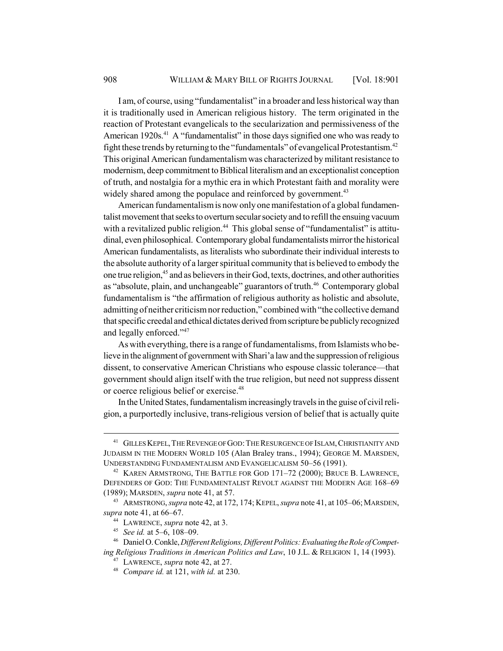I am, of course, using "fundamentalist" in a broader and less historical way than it is traditionally used in American religious history. The term originated in the reaction of Protestant evangelicals to the secularization and permissiveness of the American 1920s.<sup>41</sup> A "fundamentalist" in those days signified one who was ready to fight these trends by returning to the "fundamentals" of evangelical Protestantism.42 This original American fundamentalism was characterized by militant resistance to modernism, deep commitment to Biblical literalism and an exceptionalist conception of truth, and nostalgia for a mythic era in which Protestant faith and morality were widely shared among the populace and reinforced by government.<sup>43</sup>

American fundamentalism is now only one manifestation of a global fundamentalist movement that seeks to overturn secular society and to refill the ensuing vacuum with a revitalized public religion.<sup>44</sup> This global sense of "fundamentalist" is attitudinal, even philosophical. Contemporary global fundamentalists mirror the historical American fundamentalists, as literalists who subordinate their individual interests to the absolute authority of a larger spiritual community that is believed to embody the one true religion,45 and as believers in their God, texts, doctrines, and other authorities as "absolute, plain, and unchangeable" guarantors of truth.<sup>46</sup> Contemporary global fundamentalism is "the affirmation of religious authority as holistic and absolute, admitting of neither criticism nor reduction," combined with "the collective demand that specific creedal and ethical dictates derived from scripture be publicly recognized and legally enforced."47

As with everything, there is a range of fundamentalisms, from Islamists who believe in the alignment of government with Shari'a law and the suppression of religious dissent, to conservative American Christians who espouse classic tolerance—that government should align itself with the true religion, but need not suppress dissent or coerce religious belief or exercise.48

In the United States, fundamentalism increasingly travels in the guise of civil religion, a purportedly inclusive, trans-religious version of belief that is actually quite

<sup>&</sup>lt;sup>41</sup> GILLES KEPEL, THE REVENGE OF GOD: THE RESURGENCE OF ISLAM, CHRISTIANITY AND JUDAISM IN THE MODERN WORLD 105 (Alan Braley trans., 1994); GEORGE M. MARSDEN, UNDERSTANDING FUNDAMENTALISM AND EVANGELICALISM 50–56 (1991).

<sup>42</sup> KAREN ARMSTRONG, THE BATTLE FOR GOD 171–72 (2000); BRUCE B. LAWRENCE, DEFENDERS OF GOD: THE FUNDAMENTALIST REVOLT AGAINST THE MODERN AGE 168–69 (1989); MARSDEN, *supra* note 41, at 57.

<sup>43</sup> ARMSTRONG, *supra* note 42, at 172, 174; KEPEL, *supra* note 41, at 105–06;MARSDEN, *supra* note 41, at 66–67.

<sup>44</sup> LAWRENCE, *supra* note 42, at 3.

<sup>45</sup> *See id.* at 5–6, 108–09.

<sup>46</sup> Daniel O. Conkle, *Different Religions, Different Politics: Evaluating the Role of Competing Religious Traditions in American Politics and Law*, 10 J.L. & RELIGION 1, 14 (1993).

<sup>47</sup> LAWRENCE, *supra* note 42, at 27.

<sup>48</sup> *Compare id.* at 121, *with id.* at 230.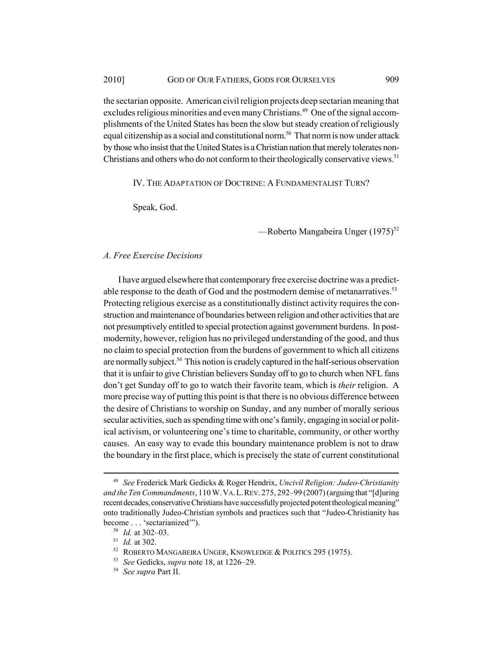the sectarian opposite. American civil religion projects deep sectarian meaning that excludes religious minorities and even many Christians.<sup>49</sup> One of the signal accomplishments of the United States has been the slow but steady creation of religiously equal citizenship as a social and constitutional norm.50 That norm is now under attack by those who insist that the United States is a Christian nation that merely tolerates non-Christians and others who do not conform to their theologically conservative views.<sup>51</sup>

IV. THE ADAPTATION OF DOCTRINE: A FUNDAMENTALIST TURN?

Speak, God.

—Roberto Mangabeira Unger  $(1975)^{52}$ 

#### *A. Free Exercise Decisions*

I have argued elsewhere that contemporary free exercise doctrine was a predictable response to the death of God and the postmodern demise of metanarratives.<sup>53</sup> Protecting religious exercise as a constitutionally distinct activity requires the construction and maintenance of boundaries between religion and other activities that are not presumptively entitled to special protection against government burdens. In postmodernity, however, religion has no privileged understanding of the good, and thus no claim to special protection from the burdens of government to which all citizens are normally subject.<sup>54</sup> This notion is crudely captured in the half-serious observation that it is unfair to give Christian believers Sunday off to go to church when NFL fans don't get Sunday off to go to watch their favorite team, which is *their* religion. A more precise way of putting this point is that there is no obvious difference between the desire of Christians to worship on Sunday, and any number of morally serious secular activities, such as spending time with one's family, engaging in social or political activism, or volunteering one's time to charitable, community, or other worthy causes. An easy way to evade this boundary maintenance problem is not to draw the boundary in the first place, which is precisely the state of current constitutional

<sup>49</sup> *See* Frederick Mark Gedicks & Roger Hendrix, *Uncivil Religion: Judeo-Christianity and the Ten Commandments*, 110 W.VA.L.REV. 275, 292–99 (2007) (arguing that "[d]uring recent decades, conservative Christians have successfully projected potent theological meaning" onto traditionally Judeo-Christian symbols and practices such that "Judeo-Christianity has become . . . 'sectarianized'").

<sup>50</sup> *Id.* at 302–03.

<sup>51</sup> *Id.* at 302.

<sup>52</sup> ROBERTO MANGABEIRA UNGER, KNOWLEDGE & POLITICS 295 (1975).

<sup>53</sup> *See* Gedicks, *supra* note 18, at 1226–29.

<sup>54</sup> *See supra* Part II.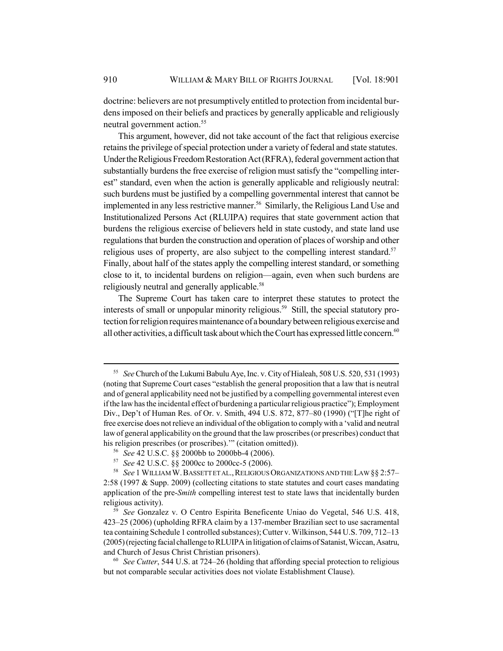doctrine: believers are not presumptively entitled to protection from incidental burdens imposed on their beliefs and practices by generally applicable and religiously neutral government action.<sup>55</sup>

This argument, however, did not take account of the fact that religious exercise retains the privilege of special protection under a variety of federal and state statutes. Under the Religious Freedom Restoration Act (RFRA), federal government action that substantially burdens the free exercise of religion must satisfy the "compelling interest" standard, even when the action is generally applicable and religiously neutral: such burdens must be justified by a compelling governmental interest that cannot be implemented in any less restrictive manner.<sup>56</sup> Similarly, the Religious Land Use and Institutionalized Persons Act (RLUIPA) requires that state government action that burdens the religious exercise of believers held in state custody, and state land use regulations that burden the construction and operation of places of worship and other religious uses of property, are also subject to the compelling interest standard.<sup>57</sup> Finally, about half of the states apply the compelling interest standard, or something close to it, to incidental burdens on religion—again, even when such burdens are religiously neutral and generally applicable.<sup>58</sup>

The Supreme Court has taken care to interpret these statutes to protect the interests of small or unpopular minority religious.<sup>59</sup> Still, the special statutory protection for religion requires maintenance of a boundary between religious exercise and all other activities, a difficult task about which the Court has expressed little concern.<sup>60</sup>

<sup>55</sup> *See* Church of the Lukumi Babulu Aye, Inc. v. City of Hialeah, 508 U.S. 520, 531 (1993) (noting that Supreme Court cases "establish the general proposition that a law that is neutral and of general applicability need not be justified by a compelling governmental interest even if the law has the incidental effect of burdening a particular religious practice"); Employment Div., Dep't of Human Res. of Or. v. Smith, 494 U.S. 872, 877–80 (1990) ("[T]he right of free exercise does not relieve an individual of the obligation to comply with a 'valid and neutral law of general applicability on the ground that the law proscribes (or prescribes) conduct that his religion prescribes (or proscribes).'" (citation omitted)).

<sup>56</sup> *See* 42 U.S.C. §§ 2000bb to 2000bb-4 (2006).

<sup>57</sup> *See* 42 U.S.C. §§ 2000cc to 2000cc-5 (2006).

<sup>58</sup> *See* 1 WILLIAM W.BASSETT ET AL.,RELIGIOUS ORGANIZATIONS AND THE LAW §§ 2:57– 2:58 (1997 & Supp. 2009) (collecting citations to state statutes and court cases mandating application of the pre-*Smith* compelling interest test to state laws that incidentally burden religious activity).

<sup>59</sup> *See* Gonzalez v. O Centro Espirita Beneficente Uniao do Vegetal, 546 U.S. 418, 423–25 (2006) (upholding RFRA claim by a 137-member Brazilian sect to use sacramental tea containing Schedule 1 controlled substances); Cutter v. Wilkinson, 544 U.S. 709, 712–13 (2005) (rejecting facial challenge to RLUIPA in litigation of claims of Satanist, Wiccan, Asatru, and Church of Jesus Christ Christian prisoners).

<sup>60</sup> *See Cutter*, 544 U.S. at 724–26 (holding that affording special protection to religious but not comparable secular activities does not violate Establishment Clause).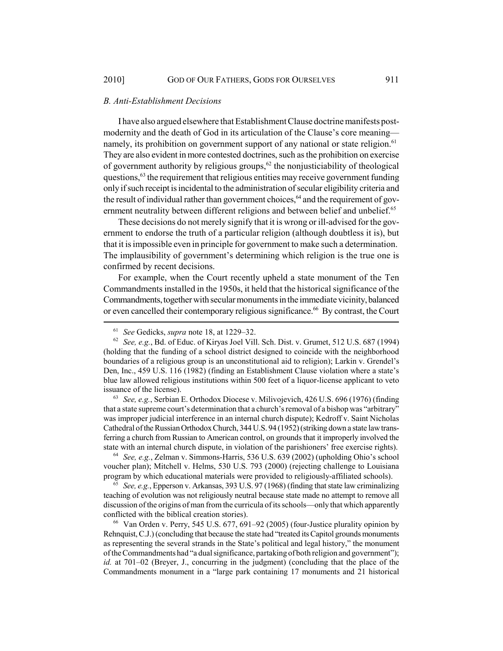#### *B. Anti-Establishment Decisions*

I have also argued elsewhere that Establishment Clause doctrine manifests postmodernity and the death of God in its articulation of the Clause's core meaning namely, its prohibition on government support of any national or state religion.<sup>61</sup> They are also evident in more contested doctrines, such as the prohibition on exercise of government authority by religious groups,<sup> $62$ </sup> the nonjusticiability of theological questions,63 the requirement that religious entities may receive government funding only if such receipt is incidental to the administration of secular eligibility criteria and the result of individual rather than government choices,<sup>64</sup> and the requirement of government neutrality between different religions and between belief and unbelief.<sup>65</sup>

These decisions do not merely signify that it is wrong or ill-advised for the government to endorse the truth of a particular religion (although doubtless it is), but that it is impossible even in principle for government to make such a determination. The implausibility of government's determining which religion is the true one is confirmed by recent decisions.

For example, when the Court recently upheld a state monument of the Ten Commandments installed in the 1950s, it held that the historical significance of the Commandments, together with secular monuments in the immediate vicinity, balanced or even cancelled their contemporary religious significance.<sup>66</sup> By contrast, the Court

<sup>63</sup> *See, e.g.*, Serbian E. Orthodox Diocese v. Milivojevich, 426 U.S. 696 (1976) (finding that a state supreme court's determination that a church's removal of a bishop was "arbitrary" was improper judicial interference in an internal church dispute); Kedroff v. Saint Nicholas Cathedral of the Russian Orthodox Church, 344 U.S. 94 (1952) (striking down a state law transferring a church from Russian to American control, on grounds that it improperly involved the state with an internal church dispute, in violation of the parishioners' free exercise rights).

<sup>64</sup> *See, e.g.*, Zelman v. Simmons-Harris, 536 U.S. 639 (2002) (upholding Ohio's school voucher plan); Mitchell v. Helms, 530 U.S. 793 (2000) (rejecting challenge to Louisiana program by which educational materials were provided to religiously-affiliated schools).

<sup>65</sup> *See, e.g.*, Epperson v. Arkansas, 393 U.S. 97 (1968) (finding that state law criminalizing teaching of evolution was not religiously neutral because state made no attempt to remove all discussion of the origins of man from the curricula of its schools—only that which apparently conflicted with the biblical creation stories).

<sup>66</sup> Van Orden v. Perry, 545 U.S. 677, 691–92 (2005) (four-Justice plurality opinion by Rehnquist, C.J.) (concluding that because the state had "treated its Capitol grounds monuments as representing the several strands in the State's political and legal history," the monument of the Commandments had "a dual significance, partaking of both religion and government"); *id.* at 701–02 (Breyer, J., concurring in the judgment) (concluding that the place of the Commandments monument in a "large park containing 17 monuments and 21 historical

<sup>61</sup> *See* Gedicks, *supra* note 18, at 1229–32.

<sup>62</sup> *See, e.g.*, Bd. of Educ. of Kiryas Joel Vill. Sch. Dist. v. Grumet, 512 U.S. 687 (1994) (holding that the funding of a school district designed to coincide with the neighborhood boundaries of a religious group is an unconstitutional aid to religion); Larkin v. Grendel's Den, Inc., 459 U.S. 116 (1982) (finding an Establishment Clause violation where a state's blue law allowed religious institutions within 500 feet of a liquor-license applicant to veto issuance of the license).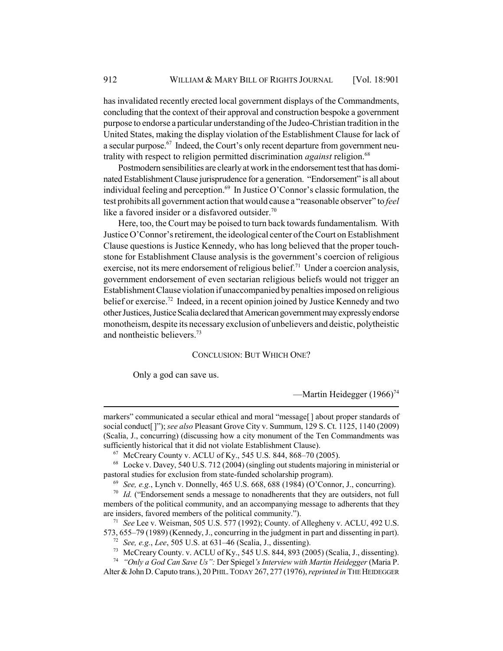has invalidated recently erected local government displays of the Commandments, concluding that the context of their approval and construction bespoke a government purpose to endorse a particular understanding of the Judeo-Christian tradition in the United States, making the display violation of the Establishment Clause for lack of a secular purpose.<sup>67</sup> Indeed, the Court's only recent departure from government neutrality with respect to religion permitted discrimination *against* religion.<sup>68</sup>

Postmodern sensibilities are clearly at work in the endorsement test that has dominated Establishment Clause jurisprudence for a generation. "Endorsement" is all about individual feeling and perception. $69$  In Justice O'Connor's classic formulation, the test prohibits all government action that would cause a "reasonable observer" to *feel* like a favored insider or a disfavored outsider.<sup>70</sup>

Here, too, the Court may be poised to turn back towards fundamentalism. With Justice O'Connor's retirement, the ideological center of the Court on Establishment Clause questions is Justice Kennedy, who has long believed that the proper touchstone for Establishment Clause analysis is the government's coercion of religious exercise, not its mere endorsement of religious belief.<sup>71</sup> Under a coercion analysis, government endorsement of even sectarian religious beliefs would not trigger an Establishment Clause violation if unaccompanied by penalties imposed on religious belief or exercise.<sup>72</sup> Indeed, in a recent opinion joined by Justice Kennedy and two other Justices, Justice Scalia declared that American government may expressly endorse monotheism, despite its necessary exclusion of unbelievers and deistic, polytheistic and nontheistic believers.73

#### CONCLUSION: BUT WHICH ONE?

Only a god can save us.

—Martin Heidegger (1966)<sup>74</sup>

markers" communicated a secular ethical and moral "message[ ] about proper standards of social conduct[ ]"); *see also* Pleasant Grove City v. Summum, 129 S. Ct. 1125, 1140 (2009) (Scalia, J., concurring) (discussing how a city monument of the Ten Commandments was sufficiently historical that it did not violate Establishment Clause).

<sup>67</sup> McCreary County v. ACLU of Ky., 545 U.S. 844, 868–70 (2005).

<sup>68</sup> Locke v. Davey, 540 U.S. 712 (2004) (singling out students majoring in ministerial or pastoral studies for exclusion from state-funded scholarship program).

<sup>69</sup> *See, e.g.*, Lynch v. Donnelly, 465 U.S. 668, 688 (1984) (O'Connor, J., concurring).

<sup>&</sup>lt;sup>70</sup> *Id.* ("Endorsement sends a message to nonadherents that they are outsiders, not full members of the political community, and an accompanying message to adherents that they are insiders, favored members of the political community.").

<sup>71</sup> *See* Lee v. Weisman, 505 U.S. 577 (1992); County. of Allegheny v. ACLU, 492 U.S. 573, 655–79 (1989) (Kennedy, J., concurring in the judgment in part and dissenting in part).

<sup>72</sup> *See, e.g.*, *Lee*, 505 U.S. at 631–46 (Scalia, J., dissenting).

<sup>73</sup> McCreary County. v. ACLU of Ky., 545 U.S. 844, 893 (2005) (Scalia, J., dissenting).

<sup>74</sup> *"Only a God Can Save Us":* Der Spiegel*'s Interview with Martin Heidegger* (Maria P. Alter & John D. Caputo trans.), 20 PHIL.TODAY 267, 277 (1976), *reprinted in* THE HEIDEGGER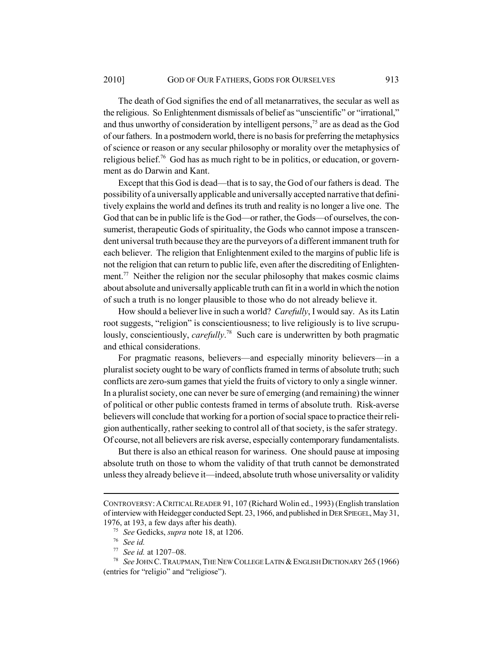The death of God signifies the end of all metanarratives, the secular as well as the religious. So Enlightenment dismissals of belief as "unscientific" or "irrational," and thus unworthy of consideration by intelligent persons,<sup>75</sup> are as dead as the God of our fathers. In a postmodern world, there is no basis for preferring the metaphysics of science or reason or any secular philosophy or morality over the metaphysics of religious belief.76 God has as much right to be in politics, or education, or government as do Darwin and Kant.

Except that this God is dead—that is to say, the God of our fathers is dead. The possibility of a universally applicable and universally accepted narrative that definitively explains the world and defines its truth and reality is no longer a live one. The God that can be in public life is the God—or rather, the Gods—of ourselves, the consumerist, therapeutic Gods of spirituality, the Gods who cannot impose a transcendent universal truth because they are the purveyors of a different immanent truth for each believer. The religion that Enlightenment exiled to the margins of public life is not the religion that can return to public life, even after the discrediting of Enlightenment.<sup>77</sup> Neither the religion nor the secular philosophy that makes cosmic claims about absolute and universally applicable truth can fit in a world in which the notion of such a truth is no longer plausible to those who do not already believe it.

How should a believer live in such a world? *Carefully*, I would say. As its Latin root suggests, "religion" is conscientiousness; to live religiously is to live scrupulously, conscientiously, *carefully*.<sup>78</sup> Such care is underwritten by both pragmatic and ethical considerations.

For pragmatic reasons, believers—and especially minority believers—in a pluralist society ought to be wary of conflicts framed in terms of absolute truth; such conflicts are zero-sum games that yield the fruits of victory to only a single winner. In a pluralist society, one can never be sure of emerging (and remaining) the winner of political or other public contests framed in terms of absolute truth. Risk-averse believers will conclude that working for a portion of social space to practice their religion authentically, rather seeking to control all of that society, is the safer strategy. Of course, not all believers are risk averse, especially contemporary fundamentalists.

But there is also an ethical reason for wariness. One should pause at imposing absolute truth on those to whom the validity of that truth cannot be demonstrated unless they already believe it—indeed, absolute truth whose universality or validity

CONTROVERSY:ACRITICAL READER 91, 107 (Richard Wolin ed., 1993) (English translation of interview with Heidegger conducted Sept. 23, 1966, and published in DER SPIEGEL, May 31, 1976, at 193, a few days after his death).

<sup>75</sup> *See* Gedicks, *supra* note 18, at 1206.

<sup>76</sup> *See id.*

<sup>77</sup> *See id.* at 1207–08.

<sup>78</sup> *See* JOHN C.TRAUPMAN,THE NEW COLLEGE LATIN &ENGLISH DICTIONARY 265 (1966) (entries for "religio" and "religiose").